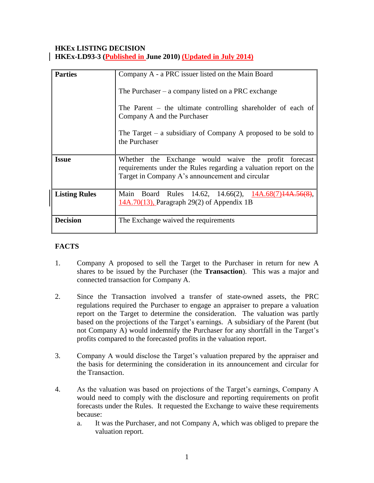### **HKEx LISTING DECISION HKEx-LD93-3 (Published in June 2010) (Updated in July 2014)**

| <b>Parties</b>       | Company A - a PRC issuer listed on the Main Board                                                                                                                           |
|----------------------|-----------------------------------------------------------------------------------------------------------------------------------------------------------------------------|
|                      | The Purchaser $-$ a company listed on a PRC exchange                                                                                                                        |
|                      | The Parent $-$ the ultimate controlling shareholder of each of<br>Company A and the Purchaser                                                                               |
|                      | The Target $-$ a subsidiary of Company A proposed to be sold to<br>the Purchaser                                                                                            |
| <b>Issue</b>         | Whether the Exchange would waive the profit forecast<br>requirements under the Rules regarding a valuation report on the<br>Target in Company A's announcement and circular |
| <b>Listing Rules</b> | Rules 14.62, 14.66(2), $14A.68(7)14A.56($<br>Main<br>Board<br>$14A.70(13)$ , Paragraph 29(2) of Appendix 1B                                                                 |
| <b>Decision</b>      | The Exchange waived the requirements                                                                                                                                        |

# **FACTS**

- 1. Company A proposed to sell the Target to the Purchaser in return for new A shares to be issued by the Purchaser (the **Transaction**). This was a major and connected transaction for Company A.
- 2. Since the Transaction involved a transfer of state-owned assets, the PRC regulations required the Purchaser to engage an appraiser to prepare a valuation report on the Target to determine the consideration. The valuation was partly based on the projections of the Target's earnings. A subsidiary of the Parent (but not Company A) would indemnify the Purchaser for any shortfall in the Target's profits compared to the forecasted profits in the valuation report.
- 3. Company A would disclose the Target's valuation prepared by the appraiser and the basis for determining the consideration in its announcement and circular for the Transaction.
- 4. As the valuation was based on projections of the Target's earnings, Company A would need to comply with the disclosure and reporting requirements on profit forecasts under the Rules. It requested the Exchange to waive these requirements because:
	- a. It was the Purchaser, and not Company A, which was obliged to prepare the valuation report.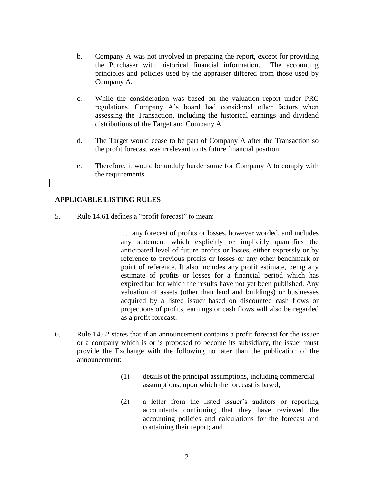- b. Company A was not involved in preparing the report, except for providing the Purchaser with historical financial information. The accounting principles and policies used by the appraiser differed from those used by Company A.
- c. While the consideration was based on the valuation report under PRC regulations, Company A's board had considered other factors when assessing the Transaction, including the historical earnings and dividend distributions of the Target and Company A.
- d. The Target would cease to be part of Company A after the Transaction so the profit forecast was irrelevant to its future financial position.
- e. Therefore, it would be unduly burdensome for Company A to comply with the requirements.

#### **APPLICABLE LISTING RULES**

5. Rule 14.61 defines a "profit forecast" to mean:

… any forecast of profits or losses, however worded, and includes any statement which explicitly or implicitly quantifies the anticipated level of future profits or losses, either expressly or by reference to previous profits or losses or any other benchmark or point of reference. It also includes any profit estimate, being any estimate of profits or losses for a financial period which has expired but for which the results have not yet been published. Any valuation of assets (other than land and buildings) or businesses acquired by a listed issuer based on discounted cash flows or projections of profits, earnings or cash flows will also be regarded as a profit forecast.

- 6. Rule 14.62 states that if an announcement contains a profit forecast for the issuer or a company which is or is proposed to become its subsidiary, the issuer must provide the Exchange with the following no later than the publication of the announcement:
	- (1) details of the principal assumptions, including commercial assumptions, upon which the forecast is based;
	- (2) a letter from the listed issuer's auditors or reporting accountants confirming that they have reviewed the accounting policies and calculations for the forecast and containing their report; and